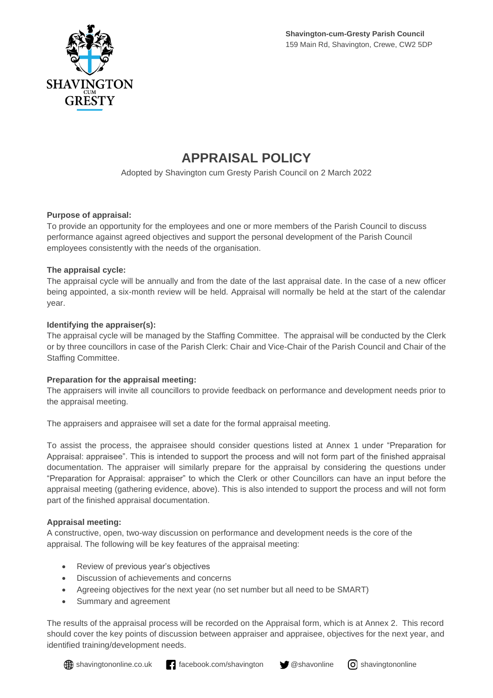

# **APPRAISAL POLICY**

Adopted by Shavington cum Gresty Parish Council on 2 March 2022

#### **Purpose of appraisal:**

To provide an opportunity for the employees and one or more members of the Parish Council to discuss performance against agreed objectives and support the personal development of the Parish Council employees consistently with the needs of the organisation.

#### **The appraisal cycle:**

The appraisal cycle will be annually and from the date of the last appraisal date. In the case of a new officer being appointed, a six-month review will be held. Appraisal will normally be held at the start of the calendar year.

#### **Identifying the appraiser(s):**

The appraisal cycle will be managed by the Staffing Committee. The appraisal will be conducted by the Clerk or by three councillors in case of the Parish Clerk: Chair and Vice-Chair of the Parish Council and Chair of the Staffing Committee.

#### **Preparation for the appraisal meeting:**

The appraisers will invite all councillors to provide feedback on performance and development needs prior to the appraisal meeting.

The appraisers and appraisee will set a date for the formal appraisal meeting.

To assist the process, the appraisee should consider questions listed at Annex 1 under "Preparation for Appraisal: appraisee". This is intended to support the process and will not form part of the finished appraisal documentation. The appraiser will similarly prepare for the appraisal by considering the questions under "Preparation for Appraisal: appraiser" to which the Clerk or other Councillors can have an input before the appraisal meeting (gathering evidence, above). This is also intended to support the process and will not form part of the finished appraisal documentation.

### **Appraisal meeting:**

A constructive, open, two-way discussion on performance and development needs is the core of the appraisal. The following will be key features of the appraisal meeting:

- Review of previous year's objectives
- Discussion of achievements and concerns
- Agreeing objectives for the next year (no set number but all need to be SMART)
- Summary and agreement

The results of the appraisal process will be recorded on the Appraisal form, which is at Annex 2. This record should cover the key points of discussion between appraiser and appraisee, objectives for the next year, and identified training/development needs.

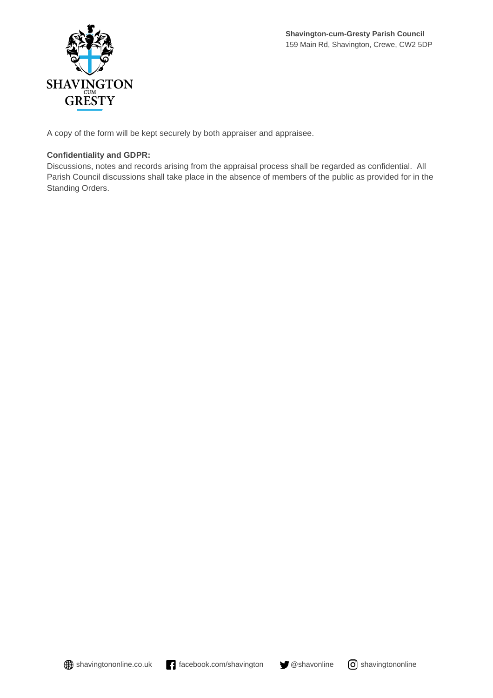

A copy of the form will be kept securely by both appraiser and appraisee.

### **Confidentiality and GDPR:**

Discussions, notes and records arising from the appraisal process shall be regarded as confidential. All Parish Council discussions shall take place in the absence of members of the public as provided for in the Standing Orders.



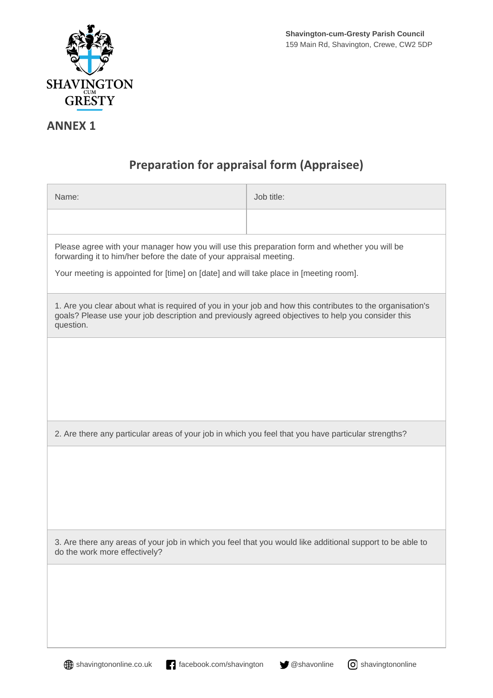

### **ANNEX 1**

## **Preparation for appraisal form (Appraisee)**

| Name:                                                                                                                                                                                                                       | Job title: |  |  |
|-----------------------------------------------------------------------------------------------------------------------------------------------------------------------------------------------------------------------------|------------|--|--|
|                                                                                                                                                                                                                             |            |  |  |
| Please agree with your manager how you will use this preparation form and whether you will be<br>forwarding it to him/her before the date of your appraisal meeting.                                                        |            |  |  |
| Your meeting is appointed for [time] on [date] and will take place in [meeting room].                                                                                                                                       |            |  |  |
| 1. Are you clear about what is required of you in your job and how this contributes to the organisation's<br>goals? Please use your job description and previously agreed objectives to help you consider this<br>question. |            |  |  |
|                                                                                                                                                                                                                             |            |  |  |
|                                                                                                                                                                                                                             |            |  |  |
|                                                                                                                                                                                                                             |            |  |  |
| 2. Are there any particular areas of your job in which you feel that you have particular strengths?                                                                                                                         |            |  |  |
|                                                                                                                                                                                                                             |            |  |  |
|                                                                                                                                                                                                                             |            |  |  |
|                                                                                                                                                                                                                             |            |  |  |
| 3. Are there any areas of your job in which you feel that you would like additional support to be able to<br>do the work more effectively?                                                                                  |            |  |  |
|                                                                                                                                                                                                                             |            |  |  |
|                                                                                                                                                                                                                             |            |  |  |
|                                                                                                                                                                                                                             |            |  |  |

**shavingtononline.co.uk facebook.com/shavington y** @shavonline **o** shavingtononline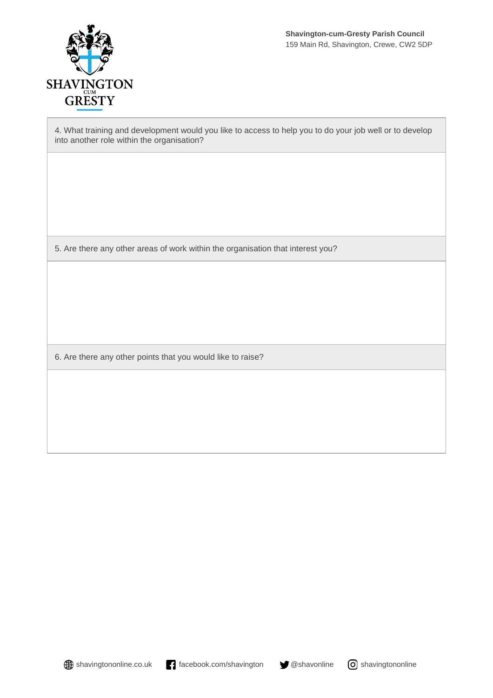

4. What training and development would you like to access to help you to do your job well or to develop into another role within the organisation?

5. Are there any other areas of work within the organisation that interest you?

6. Are there any other points that you would like to raise?

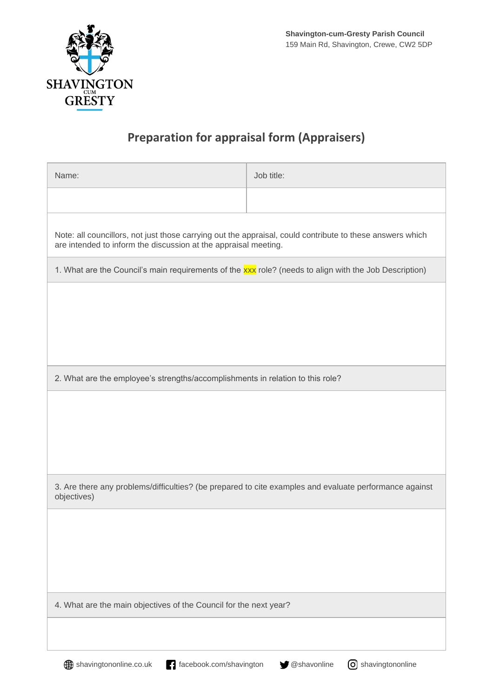

# **Preparation for appraisal form (Appraisers)**

| Name:                                                                                                                                                                        | Job title: |  |  |
|------------------------------------------------------------------------------------------------------------------------------------------------------------------------------|------------|--|--|
|                                                                                                                                                                              |            |  |  |
| Note: all councillors, not just those carrying out the appraisal, could contribute to these answers which<br>are intended to inform the discussion at the appraisal meeting. |            |  |  |
| 1. What are the Council's main requirements of the xxx role? (needs to align with the Job Description)                                                                       |            |  |  |
|                                                                                                                                                                              |            |  |  |
|                                                                                                                                                                              |            |  |  |
|                                                                                                                                                                              |            |  |  |
|                                                                                                                                                                              |            |  |  |
| 2. What are the employee's strengths/accomplishments in relation to this role?                                                                                               |            |  |  |
|                                                                                                                                                                              |            |  |  |
|                                                                                                                                                                              |            |  |  |
|                                                                                                                                                                              |            |  |  |
| 3. Are there any problems/difficulties? (be prepared to cite examples and evaluate performance against<br>objectives)                                                        |            |  |  |
|                                                                                                                                                                              |            |  |  |
|                                                                                                                                                                              |            |  |  |
|                                                                                                                                                                              |            |  |  |
|                                                                                                                                                                              |            |  |  |
| 4. What are the main objectives of the Council for the next year?                                                                                                            |            |  |  |
|                                                                                                                                                                              |            |  |  |
|                                                                                                                                                                              |            |  |  |

**shavingtononline.co.uk facebook.com/shavington y** @shavonline **o** shavingtononline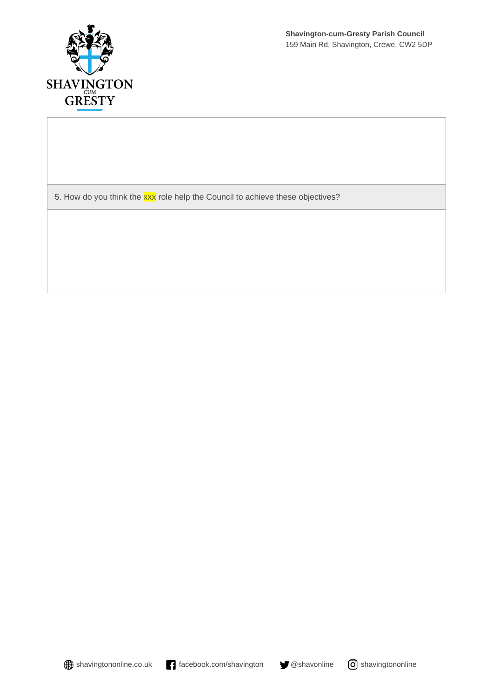

5. How do you think the **xxx** role help the Council to achieve these objectives?

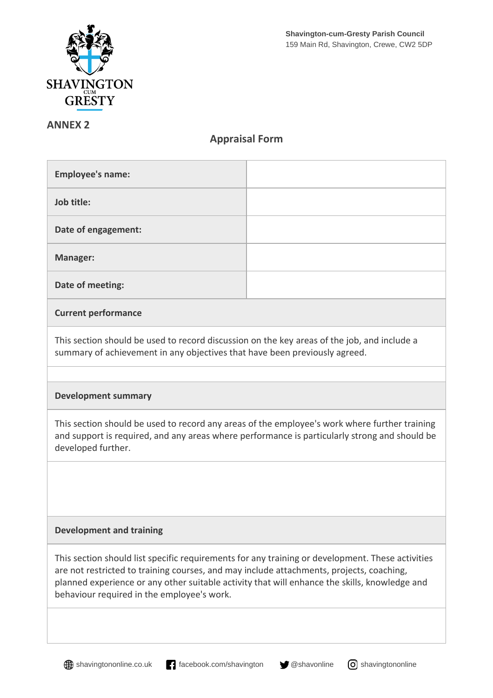

### **ANNEX 2**

### **Appraisal Form**

| <b>Employee's name:</b> |  |
|-------------------------|--|
| Job title:              |  |
| Date of engagement:     |  |
| <b>Manager:</b>         |  |
| Date of meeting:        |  |

### **Current performance**

This section should be used to record discussion on the key areas of the job, and include a summary of achievement in any objectives that have been previously agreed.

### **Development summary**

This section should be used to record any areas of the employee's work where further training and support is required, and any areas where performance is particularly strong and should be developed further.

### **Development and training**

This section should list specific requirements for any training or development. These activities are not restricted to training courses, and may include attachments, projects, coaching, planned experience or any other suitable activity that will enhance the skills, knowledge and behaviour required in the employee's work.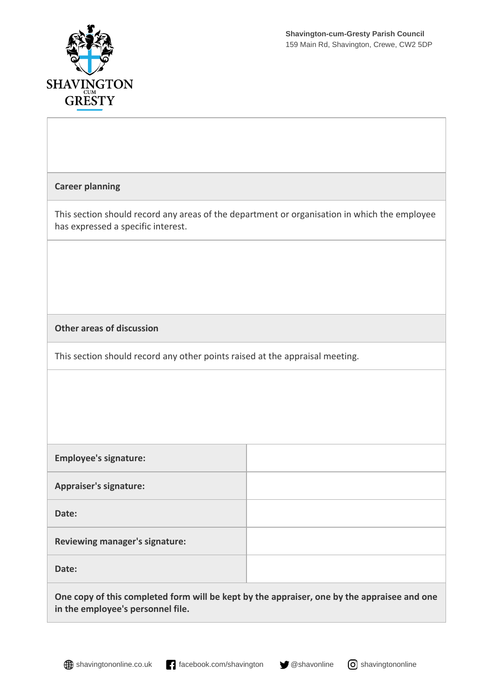



| <b>Career planning</b>                                                                                                             |  |  |
|------------------------------------------------------------------------------------------------------------------------------------|--|--|
| This section should record any areas of the department or organisation in which the employee<br>has expressed a specific interest. |  |  |
|                                                                                                                                    |  |  |
|                                                                                                                                    |  |  |
| <b>Other areas of discussion</b>                                                                                                   |  |  |
| This section should record any other points raised at the appraisal meeting.                                                       |  |  |
|                                                                                                                                    |  |  |
|                                                                                                                                    |  |  |
|                                                                                                                                    |  |  |
| <b>Employee's signature:</b>                                                                                                       |  |  |
| <b>Appraiser's signature:</b>                                                                                                      |  |  |
| Date:                                                                                                                              |  |  |
| Reviewing manager's signature:                                                                                                     |  |  |
| Date:                                                                                                                              |  |  |
| One copy of this completed form will be kept by the appraiser, one by the appraisee and one<br>in the employee's personnel file.   |  |  |

**shavingtononline.co.uk facebook.com/shavington y** @shavonline **o** shavingtononline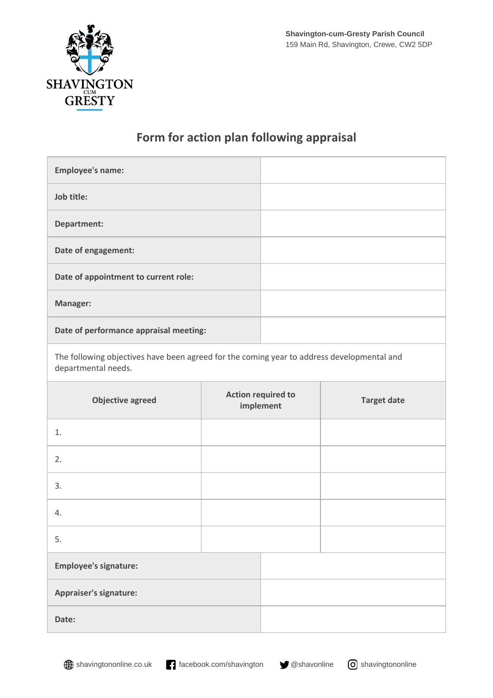

### **Form for action plan following appraisal**

| <b>Employee's name:</b>                |  |
|----------------------------------------|--|
| Job title:                             |  |
| Department:                            |  |
| Date of engagement:                    |  |
| Date of appointment to current role:   |  |
| <b>Manager:</b>                        |  |
| Date of performance appraisal meeting: |  |

The following objectives have been agreed for the coming year to address developmental and departmental needs.

| <b>Objective agreed</b>      | <b>Action required to</b><br>implement | <b>Target date</b> |
|------------------------------|----------------------------------------|--------------------|
| 1.                           |                                        |                    |
| 2.                           |                                        |                    |
| 3.                           |                                        |                    |
| 4.                           |                                        |                    |
| 5.                           |                                        |                    |
| <b>Employee's signature:</b> |                                        |                    |
| Appraiser's signature:       |                                        |                    |
| Date:                        |                                        |                    |